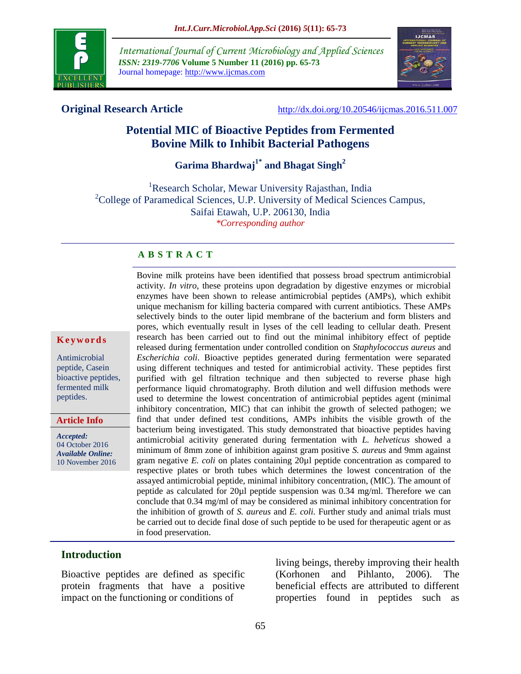

*International Journal of Current Microbiology and Applied Sciences ISSN: 2319-7706* **Volume 5 Number 11 (2016) pp. 65-73** Journal homepage: http://www.ijcmas.com



**Original Research Article** <http://dx.doi.org/10.20546/ijcmas.2016.511.007>

# **Potential MIC of Bioactive Peptides from Fermented Bovine Milk to Inhibit Bacterial Pathogens**

**Garima Bhardwaj1\* and Bhagat Singh<sup>2</sup>** 

<sup>1</sup>Research Scholar, Mewar University Rajasthan, India  $2^2$ College of Paramedical Sciences, U.P. University of Medical Sciences Campus, Saifai Etawah, U.P. 206130, India *\*Corresponding author*

#### **A B S T R A C T**

#### **K e y w o r d s**

Antimicrobial peptide, Casein bioactive peptides, fermented milk peptides.

**Article Info**

*Accepted:*  04 October 2016 *Available Online:* 10 November 2016

activity. *In vitro*, these proteins upon degradation by digestive enzymes or microbial enzymes have been shown to release antimicrobial peptides (AMPs), which exhibit unique mechanism for killing bacteria compared with current antibiotics. These AMPs selectively binds to the outer lipid membrane of the bacterium and form blisters and pores, which eventually result in lyses of the cell leading to cellular death. Present research has been carried out to find out the minimal inhibitory effect of peptide released during fermentation under controlled condition on *Staphylococcus aureus* and *Escherichia coli*. Bioactive peptides generated during fermentation were separated using different techniques and tested for antimicrobial activity. These peptides first purified with gel filtration technique and then subjected to reverse phase high performance liquid chromatography. Broth dilution and well diffusion methods were used to determine the lowest concentration of antimicrobial peptides agent (minimal inhibitory concentration, MIC) that can inhibit the growth of selected pathogen; we find that under defined test conditions, AMPs inhibits the visible growth of the bacterium being investigated. This study demonstrated that bioactive peptides having antimicrobial acitivity generated during fermentation with *L. helveticus* showed a minimum of 8mm zone of inhibition against gram positive *S. aureus* and 9mm against gram negative *E. coli* on plates containing 20µl peptide concentration as compared to respective plates or broth tubes which determines the lowest concentration of the assayed antimicrobial peptide, minimal inhibitory concentration, (MIC). The amount of peptide as calculated for 20µl peptide suspension was 0.34 mg/ml. Therefore we can conclude that 0.34 mg/ml of may be considered as minimal inhibitory concentration for the inhibition of growth of *S. aureus* and *E. coli.* Further study and animal trials must be carried out to decide final dose of such peptide to be used for therapeutic agent or as in food preservation.

Bovine milk proteins have been identified that possess broad spectrum antimicrobial

# **Introduction**

Bioactive peptides are defined as specific protein fragments that have a positive impact on the functioning or conditions of

living beings, thereby improving their health [\(Korhonen and Pihlanto,](http://onlinelibrary.wiley.com/enhanced/doi/10.1111/j.1541-4337.2011.00179.x#b66) 2006). The beneficial effects are attributed to different properties found in peptides such as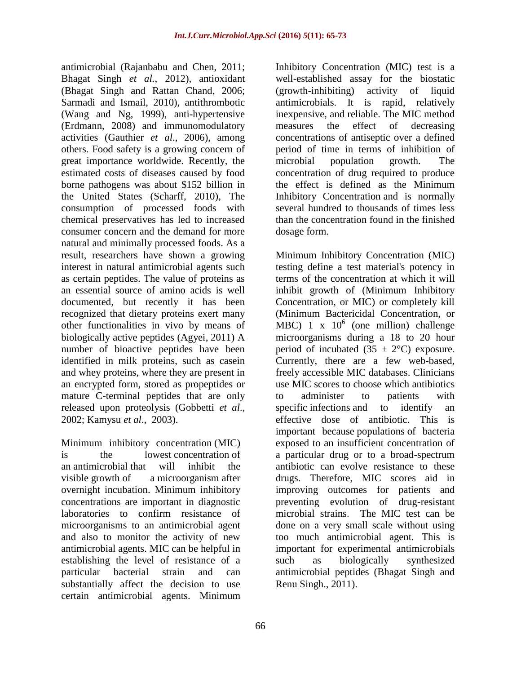antimicrobial [\(Rajanbabu and Chen,](http://onlinelibrary.wiley.com/enhanced/doi/10.1111/j.1541-4337.2011.00179.x#b97) 2011; Bhagat Singh *et al.*, 2012), antioxidant (Bhagat Singh and Rattan Chand, 2006; [Sarmadi and Ismail,](http://onlinelibrary.wiley.com/enhanced/doi/10.1111/j.1541-4337.2011.00179.x#b104) 2010), antithrombotic [\(Wang and Ng,](http://onlinelibrary.wiley.com/enhanced/doi/10.1111/j.1541-4337.2011.00179.x#b125) 1999), anti-hypertensive [\(Erdmann,](http://onlinelibrary.wiley.com/enhanced/doi/10.1111/j.1541-4337.2011.00179.x#b38) 2008) and immunomodulatory activities [\(Gauthier](http://onlinelibrary.wiley.com/enhanced/doi/10.1111/j.1541-4337.2011.00179.x#b44) *et al*., 2006), among others. Food safety is a growing concern of great importance worldwide. Recently, the estimated costs of diseases caused by food borne pathogens was about \$152 billion in the United States [\(Scharff,](http://onlinelibrary.wiley.com/enhanced/doi/10.1111/j.1541-4337.2011.00179.x#b106) 2010), The consumption of processed foods with chemical preservatives has led to increased consumer concern and the demand for more natural and minimally processed foods. As a result, researchers have shown a growing interest in natural antimicrobial agents such as certain peptides. The value of proteins as an essential source of amino acids is well documented, but recently it has been recognized that dietary proteins exert many other functionalities in vivo by means of biologically active peptides (Agyei, 2011) A number of bioactive peptides have been identified in milk proteins, such as casein and whey proteins, where they are present in an encrypted form, stored as propeptides or mature C-terminal peptides that are only released upon proteolysis (Gobbetti *et al*., 2002; Kamysu *et al*., 2003).

Minimum inhibitory concentration (MIC) is the lowest [concentration](https://en.wikipedia.org/wiki/Concentration) of an [antimicrobial](https://en.wikipedia.org/wiki/Antimicrobial) that will inhibit the visible [growth](https://en.wikipedia.org/wiki/Cell_growth) of a [microorganism](https://en.wikipedia.org/wiki/Microorganism) after overnight incubation. Minimum inhibitory concentrations are important in diagnostic laboratories to confirm resistance of microorganisms to an antimicrobial agent and also to monitor the activity of new antimicrobial agents. MIC can be helpful in establishing the level of resistance of a particular bacterial strain and can substantially affect the decision to use certain antimicrobial agents. Minimum Inhibitory Concentration (MIC) test is a well-established assay for the biostatic (growth-inhibiting) activity of liquid antimicrobials. It is rapid, relatively inexpensive, and reliable. The MIC method measures the effect of decreasing concentrations of antiseptic over a defined period of time in terms of inhibition of microbial population growth. The concentration of drug required to produce the effect is defined as the Minimum Inhibitory Concentration and is normally several hundred to thousands of times less than the concentration found in the finished dosage form.

Minimum Inhibitory Concentration (MIC) testing define a test material's potency in terms of the concentration at which it will inhibit growth of (Minimum Inhibitory Concentration, or MIC) or completely kill (Minimum Bactericidal Concentration, or  $MBC$ ) 1 x 10<sup>6</sup> (one million) challenge microorganisms during a 18 to 20 hour period of incubated  $(35 \pm 2^{\circ}C)$  exposure. Currently, there are a few web-based, freely accessible MIC databases. Clinicians use MIC scores to choose which antibiotics to administer to patients with specific [infections](https://www.boundless.com/microbiology/definition/infection) and to identify an effective dose of antibiotic. This is important because [populations](https://www.boundless.com/microbiology/definition/populations) of bacteria exposed to an insufficient concentration of a particular drug or to a broad-spectrum antibiotic can evolve resistance to these drugs. Therefore, MIC scores aid in improving outcomes for patients and preventing evolution of drug-resistant microbial strains. The MIC test can be done on a very small scale without using too much antimicrobial agent. This is important for experimental antimicrobials such as biologically synthesized antimicrobial peptides (Bhagat Singh and Renu Singh., 2011).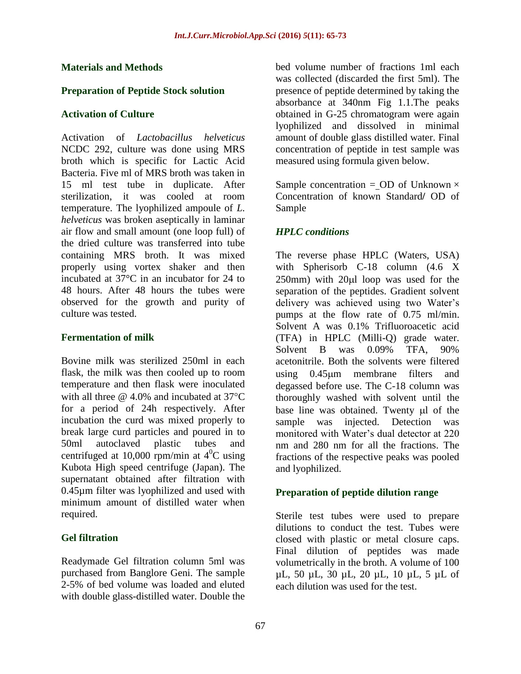#### **Materials and Methods**

#### **Preparation of Peptide Stock solution**

#### **Activation of Culture**

Activation of *Lactobacillus helveticus* NCDC 292, culture was done using MRS broth which is specific for Lactic Acid Bacteria. Five ml of MRS broth was taken in 15 ml test tube in duplicate. After sterilization, it was cooled at room temperature. The lyophilized ampoule of *L. helveticus* was broken aseptically in laminar air flow and small amount (one loop full) of the dried culture was transferred into tube containing MRS broth. It was mixed properly using vortex shaker and then incubated at 37°C in an incubator for 24 to 48 hours. After 48 hours the tubes were observed for the growth and purity of culture was tested.

#### **Fermentation of milk**

Bovine milk was sterilized 250ml in each flask, the milk was then cooled up to room temperature and then flask were inoculated with all three  $\omega$  4.0% and incubated at 37 $\mathrm{^{\circ}C}$ for a period of 24h respectively. After incubation the curd was mixed properly to break large curd particles and poured in to 50ml autoclaved plastic tubes and centrifuged at 10,000 rpm/min at  $4^{\circ}$ C using Kubota High speed centrifuge (Japan). The supernatant obtained after filtration with 0.45µm filter was lyophilized and used with minimum amount of distilled water when required.

# **Gel filtration**

Readymade Gel filtration column 5ml was purchased from Banglore Geni. The sample 2-5% of bed volume was loaded and eluted with double glass-distilled water. Double the bed volume number of fractions 1ml each was collected (discarded the first 5ml). The presence of peptide determined by taking the absorbance at 340nm Fig 1.1.The peaks obtained in G-25 chromatogram were again lyophilized and dissolved in minimal amount of double glass distilled water. Final concentration of peptide in test sample was measured using formula given below.

Sample concentration = OD of Unknown  $\times$ Concentration of known Standard**/** OD of Sample

# *HPLC conditions*

The reverse phase HPLC (Waters, USA) with Spherisorb C-18 column (4.6 X  $250$ mm) with  $20\mu l$  loop was used for the separation of the peptides. Gradient solvent delivery was achieved using two Water's pumps at the flow rate of 0.75 ml/min. Solvent A was 0.1% Trifluoroacetic acid (TFA) in HPLC (Milli-Q) grade water. Solvent B was 0.09% TFA, 90% acetonitrile. Both the solvents were filtered using 0.45m membrane filters and degassed before use. The C-18 column was thoroughly washed with solvent until the base line was obtained. Twenty ul of the sample was injected. Detection was monitored with Water's dual detector at 220 nm and 280 nm for all the fractions. The fractions of the respective peaks was pooled and lyophilized.

# **Preparation of peptide dilution range**

Sterile test tubes were used to prepare dilutions to conduct the test. Tubes were closed with plastic or metal closure caps. Final dilution of peptides was made volumetrically in the broth. A volume of 100 µL, 50 µL, 30 µL, 20 µL, 10 µL, 5 µL of each dilution was used for the test.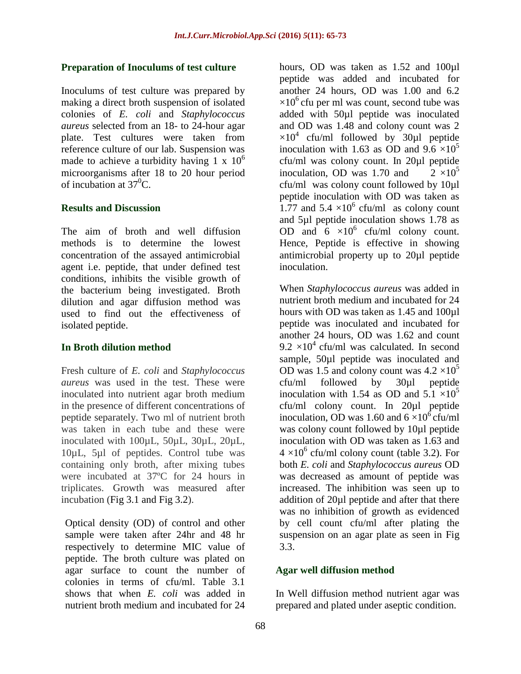#### **Preparation of Inoculums of test culture**

Inoculums of test culture was prepared by making a direct broth suspension of isolated colonies of *E. coli* and *Staphylococcus aureus* selected from an 18- to 24-hour agar plate. Test cultures were taken from reference culture of our lab. Suspension was made to achieve a turbidity having 1 x  $10<sup>6</sup>$ microorganisms after 18 to 20 hour period of incubation at  $37^0C$ .

#### **Results and Discussion**

The aim of broth and well diffusion methods is to determine the lowest concentration of the assayed antimicrobial agent i.e. peptide, that under defined test conditions, inhibits the visible growth of the bacterium being investigated. Broth dilution and agar diffusion method was used to find out the effectiveness of isolated peptide.

# **In Broth dilution method**

Fresh culture of *E. coli* and *Staphylococcus aureus* was used in the test. These were inoculated into nutrient agar broth medium in the presence of different concentrations of peptide separately. Two ml of nutrient broth was taken in each tube and these were inoculated with 100µL, 50µL, 30µL, 20µL, 10µL, 5µl of peptides. Control tube was containing only broth, after mixing tubes were incubated at 37ºC for 24 hours in triplicates. Growth was measured after incubation (Fig 3.1 and Fig 3.2).

Optical density (OD) of control and other sample were taken after 24hr and 48 hr respectively to determine MIC value of peptide. The broth culture was plated on agar surface to count the number of colonies in terms of cfu/ml. Table 3.1 shows that when *E. coli* was added in nutrient broth medium and incubated for 24

hours, OD was taken as 1.52 and 100µl peptide was added and incubated for another 24 hours, OD was 1.00 and 6.2  $\times 10^6$  cfu per ml was count, second tube was added with 50µl peptide was inoculated and OD was 1.48 and colony count was 2  $\times 10^4$  cfu/ml followed by 30µl peptide inoculation with 1.63 as OD and 9.6  $\times 10^5$ cfu/ml was colony count. In 20µl peptide inoculation, OD was 1.70 and  $2 \times 10^5$ cfu/ml was colony count followed by 10µl peptide inoculation with OD was taken as 1.77 and  $5.4 \times 10^6$  cfu/ml as colony count and 5µl peptide inoculation shows 1.78 as OD and  $6 \times 10^6$  cfu/ml colony count. Hence, Peptide is effective in showing antimicrobial property up to 20µl peptide inoculation.

When *Staphylococcus aureus* was added in nutrient broth medium and incubated for 24 hours with OD was taken as 1.45 and 100ul peptide was inoculated and incubated for another 24 hours, OD was 1.62 and count  $9.2 \times 10^4$  cfu/ml was calculated. In second sample, 50 $\mu$ l peptide was inoculated and OD was 1.5 and colony count was  $4.2 \times 10^5$ cfu/ml followed by 30µl peptide inoculation with 1.54 as OD and  $5.1 \times 10^5$ cfu/ml colony count. In 20µl peptide inoculation, OD was 1.60 and  $6 \times 10^6$  cfu/ml was colony count followed by 10µl peptide inoculation with OD was taken as 1.63 and  $4 \times 10^6$  cfu/ml colony count (table 3.2). For both *E. coli* and *Staphylococcus aureus* OD was decreased as amount of peptide was increased. The inhibition was seen up to addition of 20µl peptide and after that there was no inhibition of growth as evidenced by cell count cfu/ml after plating the suspension on an agar plate as seen in Fig 3.3.

# **Agar well diffusion method**

In Well diffusion method nutrient agar was prepared and plated under aseptic condition.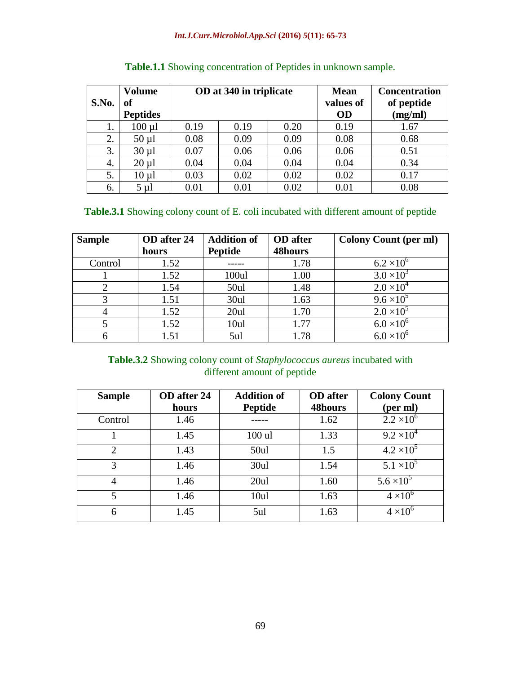| S.No. | <b>Volume</b><br>of |      | OD at 340 in triplicate |      |           | <b>Concentration</b><br>of peptide |
|-------|---------------------|------|-------------------------|------|-----------|------------------------------------|
|       | <b>Peptides</b>     |      |                         |      | <b>OD</b> | (mg/ml)                            |
| 1.    | $100 \mu l$         | 0.19 | 0.19                    | 0.20 | 0.19      | 1.67                               |
| 2.    | $50 \mu l$          | 0.08 | 0.09                    | 0.09 | 0.08      | 0.68                               |
| 3.    | $30 \mu l$          | 0.07 | 0.06                    | 0.06 | 0.06      | 0.51                               |
| 4.    | $20 \mu l$          | 0.04 | 0.04                    | 0.04 | 0.04      | 0.34                               |
| 5.    | $10 \mu l$          | 0.03 | 0.02                    | 0.02 | 0.02      | 0.17                               |
| 6.    | $5 \mu l$           | 0.01 | 0.01                    | 0.02 | 0.01      | 0.08                               |

| <b>Table.1.1</b> Showing concentration of Peptides in unknown sample. |  |  |  |  |
|-----------------------------------------------------------------------|--|--|--|--|
|                                                                       |  |  |  |  |

# **Table.3.1** Showing colony count of E. coli incubated with different amount of peptide

| <b>Sample</b>  | OD after 24 | <b>Addition of</b> | <b>OD</b> after | <b>Colony Count (per ml)</b> |
|----------------|-------------|--------------------|-----------------|------------------------------|
|                | hours       | <b>Peptide</b>     | 48hours         |                              |
| Control        | 1.52        |                    | 1.78            | $6.2 \times 10^{6}$          |
|                | 1.52        | 100ul              | 1.00            | $3.0 \times 10^{3}$          |
| $\overline{2}$ | 1.54        | 50ul               | 1.48            | $2.0 \times 10^{4}$          |
| 3              | 1.51        | 30ul               | 1.63            | $9.6 \times 10^{5}$          |
| $\overline{4}$ | 1.52        | 20ul               | 1.70            | $2.0 \times 10^{5}$          |
|                | 1.52        | 10ul               | 1.77            | $6.0 \times 10^{6}$          |
| 6              | 1.51        | 5ul                | 1.78            |                              |

# **Table.3.2** Showing colony count of *Staphylococcus aureus* incubated with different amount of peptide

| <b>Sample</b>  | OD after 24 | <b>Addition of</b> | <b>OD</b> after | <b>Colony Count</b> |
|----------------|-------------|--------------------|-----------------|---------------------|
|                | hours       | <b>Peptide</b>     | 48hours         | (per ml)            |
| Control        | 1.46        |                    | 1.62            | $2.2 \times 10^{6}$ |
|                | 1.45        | $100$ ul           | 1.33            | $9.2 \times 10^{4}$ |
| $\overline{2}$ | 1.43        | 50ul               | 1.5             | $4.2 \times 10^{5}$ |
| 3              | 1.46        | 30ul               | 1.54            | $5.1 \times 10^5$   |
| 4              | 1.46        | 20ul               | 1.60            | $5.6 \times 10^{5}$ |
| 5              | 1.46        | 10ul               | 1.63            | $4 \times 10^6$     |
| 6              | 1.45        | 5ul                | 1.63            | $4 \times 10^{6}$   |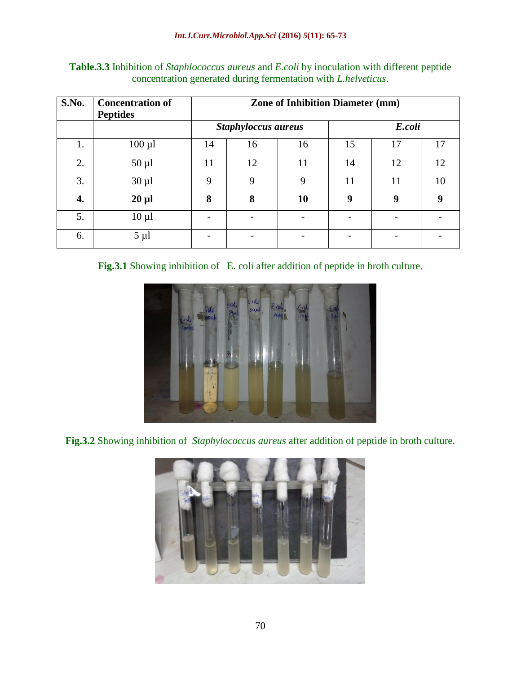| S.No. | <b>Concentration of</b><br><b>Peptides</b> | <b>Zone of Inhibition Diameter (mm)</b> |    |             |        |    |    |  |
|-------|--------------------------------------------|-----------------------------------------|----|-------------|--------|----|----|--|
|       |                                            | <b>Staphyloccus aureus</b>              |    |             | E.coli |    |    |  |
| 1.    | $100 \mu l$                                | 14                                      | 16 | 16          | 15     | 17 | 17 |  |
| 2.    | $50 \mu l$                                 | 11                                      | 12 | 11          | 14     | 12 | 12 |  |
| 3.    | $30 \mu l$                                 | $\mathbf Q$                             | 9  | $\mathbf Q$ | 11     | 11 | 10 |  |
| 4.    | $20 \mu l$                                 | 8                                       | 8  | 10          | 9      | 9  | 9  |  |
| 5.    | $10 \mu l$                                 |                                         |    |             |        |    |    |  |
| 6.    | $5 \mu l$                                  |                                         |    |             |        |    |    |  |

**Table.3.3** Inhibition of *Staphlococcus aureus* and *E.coli* by inoculation with different peptide concentration generated during fermentation with *L.helveticus*.

**Fig.3.1** Showing inhibition of E. coli after addition of peptide in broth culture.



**Fig.3.2** Showing inhibition of *Staphylococcus aureus* after addition of peptide in broth culture.

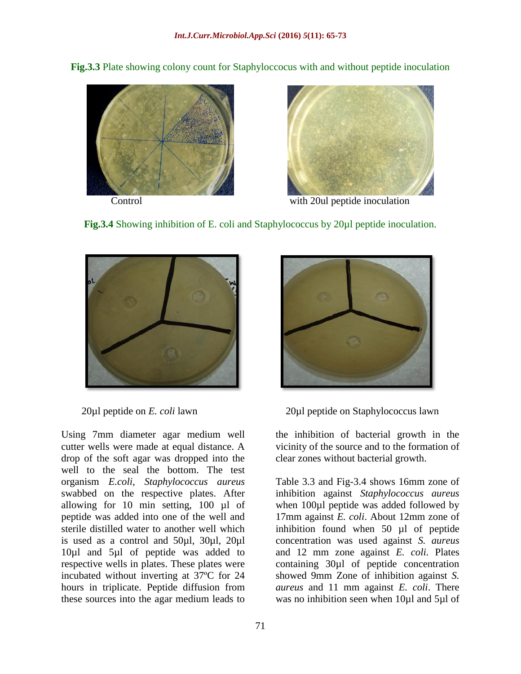**Fig.3.3** Plate showing colony count for Staphyloccocus with and without peptide inoculation





Control with 20ul peptide inoculation





Using 7mm diameter agar medium well cutter wells were made at equal distance. A drop of the soft agar was dropped into the well to the seal the bottom. The test organism *E.coli, Staphylococcus aureus* swabbed on the respective plates. After allowing for 10 min setting, 100 µl of peptide was added into one of the well and sterile distilled water to another well which is used as a control and 50µl, 30µl, 20µl 10µl and 5µl of peptide was added to respective wells in plates. These plates were incubated without inverting at 37ºC for 24 hours in triplicate. Peptide diffusion from these sources into the agar medium leads to



20µl peptide on *E. coli* lawn 20µl peptide on Staphylococcus lawn

the inhibition of bacterial growth in the vicinity of the source and to the formation of clear zones without bacterial growth.

Table 3.3 and Fig-3.4 shows 16mm zone of inhibition against *Staphylococcus aureus* when 100 $\mu$ l peptide was added followed by 17mm against *E. coli*. About 12mm zone of inhibition found when 50 µl of peptide concentration was used against *S. aureus* and 12 mm zone against *E. coli.* Plates containing 30µl of peptide concentration showed 9mm Zone of inhibition against *S. aureus* and 11 mm against *E. coli*. There was no inhibition seen when 10µl and 5µl of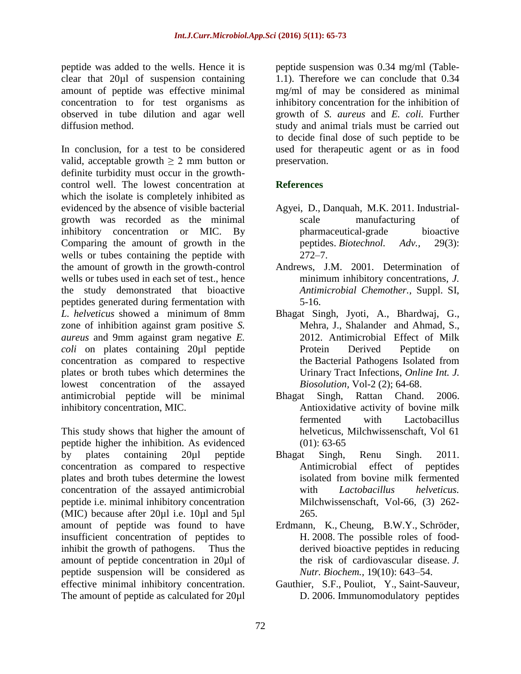peptide was added to the wells. Hence it is clear that 20µl of suspension containing amount of peptide was effective minimal concentration to for test organisms as observed in tube dilution and agar well diffusion method.

In conclusion, for a test to be considered valid, acceptable growth  $> 2$  mm button or definite turbidity must occur in the growthcontrol well. The lowest concentration at which the isolate is completely inhibited as evidenced by the absence of visible bacterial growth was recorded as the minimal inhibitory concentration or MIC. By Comparing the amount of growth in the wells or tubes containing the peptide with the amount of growth in the growth-control wells or tubes used in each set of test., hence the study demonstrated that bioactive peptides generated during fermentation with *L. helveticus* showed a minimum of 8mm zone of inhibition against gram positive *S. aureus* and 9mm against gram negative *E. coli* on plates containing 20µl peptide concentration as compared to respective plates or broth tubes which determines the lowest concentration of the assayed antimicrobial peptide will be minimal inhibitory concentration, MIC.

This study shows that higher the amount of peptide higher the inhibition. As evidenced by plates containing 20µl peptide concentration as compared to respective plates and broth tubes determine the lowest concentration of the assayed antimicrobial peptide i.e. minimal inhibitory concentration (MIC) because after 20µl i.e. 10µl and 5µl amount of peptide was found to have insufficient concentration of peptides to inhibit the growth of pathogens. Thus the amount of peptide concentration in 20µl of peptide suspension will be considered as effective minimal inhibitory concentration. The amount of peptide as calculated for 20µl

peptide suspension was 0.34 mg/ml (Table-1.1). Therefore we can conclude that 0.34 mg/ml of may be considered as minimal inhibitory concentration for the inhibition of growth of *S. aureus* and *E. coli.* Further study and animal trials must be carried out to decide final dose of such peptide to be used for therapeutic agent or as in food preservation.

# **References**

- Agyei, D., Danquah, M.K. 2011. Industrialscale manufacturing of pharmaceutical-grade bioactive peptides. *Biotechnol. Adv.,* 29(3): 272–7.
- Andrews, J.M. 2001. [Determination of](https://www.google.co.in/url?sa=t&rct=j&q=&esrc=s&source=web&cd=6&cad=rja&uact=8&ved=0ahUKEwiIps-dyrbNAhWFvo8KHbScDzMQFgg7MAU&url=http%3A%2F%2Fjac.oxfordjournals.org%2Fcontent%2F48%2Fsuppl_1%2F5.abstract&usg=AFQjCNGCE2eDK9xLUrcM4A_fkrKSrVjeTw&sig2=S86PchyzBduw15_SI6Io1Q&bvm=bv.124817099,d.c2I)  [minimum inhibitory concentrations,](https://www.google.co.in/url?sa=t&rct=j&q=&esrc=s&source=web&cd=6&cad=rja&uact=8&ved=0ahUKEwiIps-dyrbNAhWFvo8KHbScDzMQFgg7MAU&url=http%3A%2F%2Fjac.oxfordjournals.org%2Fcontent%2F48%2Fsuppl_1%2F5.abstract&usg=AFQjCNGCE2eDK9xLUrcM4A_fkrKSrVjeTw&sig2=S86PchyzBduw15_SI6Io1Q&bvm=bv.124817099,d.c2I) *J. Antimicrobial Chemother.,* Suppl. SI, 5-16.
- Bhagat Singh, Jyoti, A., Bhardwaj, G., Mehra, J., Shalander and Ahmad, S., 2012. Antimicrobial Effect of Milk Protein Derived Peptide on the Bacterial Pathogens Isolated from Urinary Tract Infections, *Online Int. J. Biosolution,* Vol-2 (2); 64-68.
- Bhagat Singh, Rattan Chand. 2006. Antioxidative activity of bovine milk fermented with Lactobacillus helveticus, Milchwissenschaft, Vol 61  $(01): 63-65$
- Bhagat Singh, Renu Singh. 2011. Antimicrobial effect of peptides isolated from bovine milk fermented with *Lactobacillus helveticus.*  Milchwissenschaft, Vol-66, (3) 262- 265.
- Erdmann, K., Cheung, B.W.Y., Schröder, H. 2008. The possible roles of foodderived bioactive peptides in reducing the risk of cardiovascular disease. *J. Nutr. Biochem.,* 19(10): 643–54.
- Gauthier, S.F., Pouliot, Y., Saint-Sauveur, D. 2006. Immunomodulatory peptides